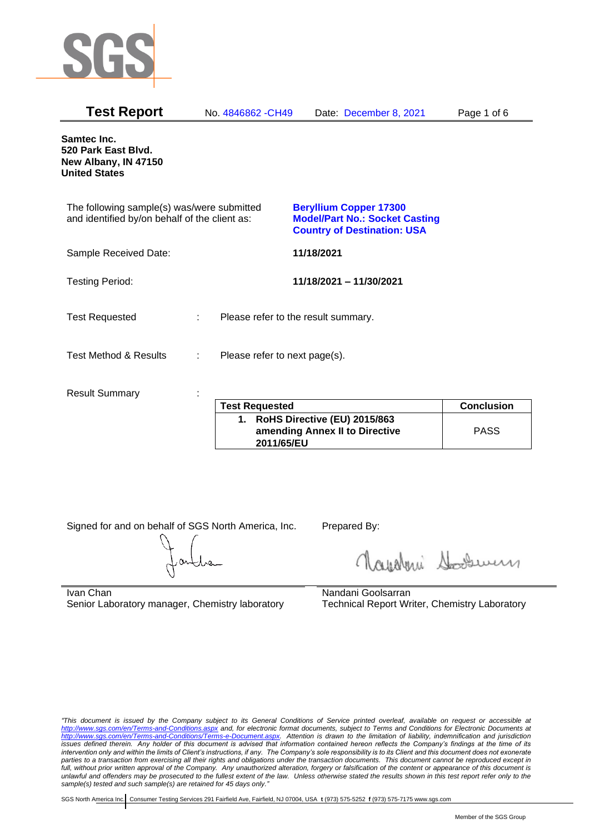

| <b>Test Report</b>                                                                          |   | No. 4846862 - CH49            | Date: December 8, 2021                                                                                       | Page 1 of 6       |
|---------------------------------------------------------------------------------------------|---|-------------------------------|--------------------------------------------------------------------------------------------------------------|-------------------|
| Samtec Inc.<br>520 Park East Blvd.<br>New Albany, IN 47150<br><b>United States</b>          |   |                               |                                                                                                              |                   |
| The following sample(s) was/were submitted<br>and identified by/on behalf of the client as: |   |                               | <b>Beryllium Copper 17300</b><br><b>Model/Part No.: Socket Casting</b><br><b>Country of Destination: USA</b> |                   |
| Sample Received Date:                                                                       |   |                               | 11/18/2021                                                                                                   |                   |
| <b>Testing Period:</b>                                                                      |   |                               | 11/18/2021 - 11/30/2021                                                                                      |                   |
| <b>Test Requested</b>                                                                       | ÷ |                               | Please refer to the result summary.                                                                          |                   |
| <b>Test Method &amp; Results</b>                                                            | ÷ | Please refer to next page(s). |                                                                                                              |                   |
| <b>Result Summary</b>                                                                       |   |                               |                                                                                                              |                   |
|                                                                                             |   | <b>Test Requested</b>         |                                                                                                              | <b>Conclusion</b> |
|                                                                                             |   | <b>BULLA BALLANDE</b>         | $I = I \cup A \cup I \cup A$                                                                                 |                   |

| <b>Test Requested</b>                                                           | <b>Conclusion</b> |
|---------------------------------------------------------------------------------|-------------------|
| 1. RoHS Directive (EU) 2015/863<br>amending Annex II to Directive<br>2011/65/EU | <b>PASS</b>       |

Signed for and on behalf of SGS North America, Inc. Prepared By:

Navaleni Soomun

Ivan Chan Senior Laboratory manager, Chemistry laboratory Nandani Goolsarran Technical Report Writer, Chemistry Laboratory

*"This document is issued by the Company subject to its General Conditions of Service printed overleaf, available on request or accessible at <http://www.sgs.com/en/Terms-and-Conditions.aspx> and, for electronic format documents, subject to Terms and Conditions for Electronic Documents at [http://www.sgs.com/en/Terms-and-Conditions/Terms-e-Document.aspx.](http://www.sgs.com/en/Terms-and-Conditions/Terms-e-Document.aspx) Attention is drawn to the limitation of liability, indemnification and jurisdiction issues defined therein. Any holder of this document is advised that information contained hereon reflects the Company's findings at the time of its intervention only and within the limits of Client's instructions, if any. The Company's sole responsibility is to its Client and this document does not exonerate parties to a transaction from exercising all their rights and obligations under the transaction documents. This document cannot be reproduced except in full, without prior written approval of the Company. Any unauthorized alteration, forgery or falsification of the content or appearance of this document is unlawful and offenders may be prosecuted to the fullest extent of the law. Unless otherwise stated the results shown in this test report refer only to the sample(s) tested and such sample(s) are retained for 45 days only."*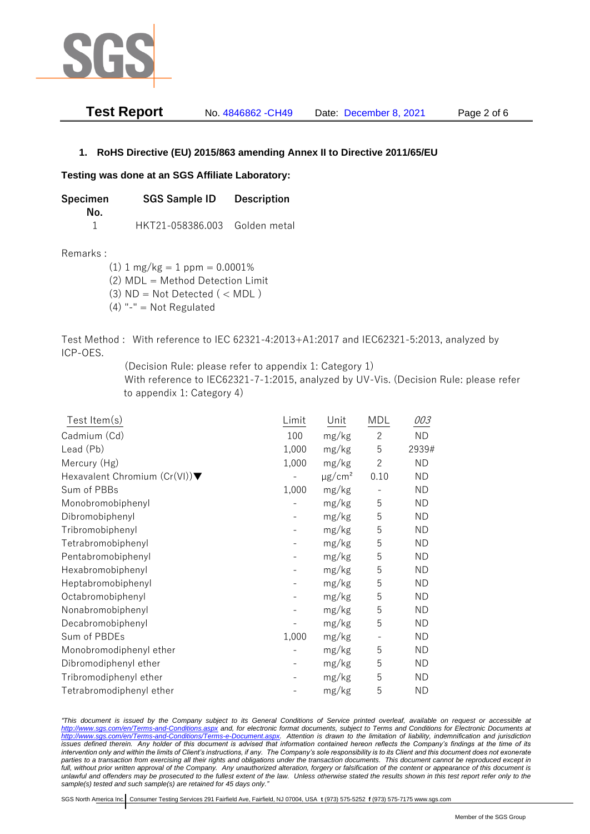

| Test Report | No. 4846862 - CH49 | Date: December 8, 2021 | Page 2 of 6 |
|-------------|--------------------|------------------------|-------------|
|-------------|--------------------|------------------------|-------------|

## **1. RoHS Directive (EU) 2015/863 amending Annex II to Directive 2011/65/EU**

## **Testing was done at an SGS Affiliate Laboratory:**

**Specimen SGS Sample ID Description No.** 1 HKT21-058386.003 Golden metal

Remarks :

 $(1)$  1 mg/kg = 1 ppm = 0.0001%

(2) MDL = Method Detection Limit

- $(3)$  ND = Not Detected  $($  < MDL)
- (4) "-" = Not Regulated

Test Method : With reference to IEC 62321-4:2013+A1:2017 and IEC62321-5:2013, analyzed by ICP-OES.

(Decision Rule: please refer to appendix 1: Category 1)

With reference to IEC62321-7-1:2015, analyzed by UV-Vis. (Decision Rule: please refer to appendix 1: Category 4)

| Test Item(s)                  | Limit | Unit                    | MDL                      | 003       |
|-------------------------------|-------|-------------------------|--------------------------|-----------|
| Cadmium (Cd)                  | 100   | mg/kg                   | $\mathbf{2}$             | <b>ND</b> |
| Lead (Pb)                     | 1,000 | mg/kg                   | 5                        | 2939#     |
| Mercury (Hg)                  | 1,000 | mg/kg                   | $\overline{c}$           | <b>ND</b> |
| Hexavalent Chromium (Cr(VI))▼ |       | $\mu$ g/cm <sup>2</sup> | 0.10                     | <b>ND</b> |
| Sum of PBBs                   | 1,000 | mg/kg                   |                          | ND.       |
| Monobromobiphenyl             |       | mg/kg                   | 5                        | <b>ND</b> |
| Dibromobiphenyl               |       | mg/kg                   | 5                        | ND.       |
| Tribromobiphenyl              |       | mg/kg                   | 5                        | <b>ND</b> |
| Tetrabromobiphenyl            |       | mg/kg                   | 5                        | ND.       |
| Pentabromobiphenyl            |       | mg/kg                   | 5                        | ND        |
| Hexabromobiphenyl             |       | mg/kg                   | 5                        | ND.       |
| Heptabromobiphenyl            |       | mg/kg                   | 5                        | <b>ND</b> |
| Octabromobiphenyl             |       | mg/kg                   | 5                        | ND.       |
| Nonabromobiphenyl             |       | mg/kg                   | 5                        | ND.       |
| Decabromobiphenyl             |       | mg/kg                   | 5                        | <b>ND</b> |
| Sum of PBDEs                  | 1,000 | mg/kg                   | $\overline{\phantom{0}}$ | ND.       |
| Monobromodiphenyl ether       |       | mg/kg                   | 5                        | <b>ND</b> |
| Dibromodiphenyl ether         |       | mg/kg                   | 5                        | ND.       |
| Tribromodiphenyl ether        |       | mg/kg                   | 5                        | ND        |
| Tetrabromodiphenyl ether      |       | mg/kg                   | 5                        | ND.       |

*"This document is issued by the Company subject to its General Conditions of Service printed overleaf, available on request or accessible at <http://www.sgs.com/en/Terms-and-Conditions.aspx> and, for electronic format documents, subject to Terms and Conditions for Electronic Documents at [http://www.sgs.com/en/Terms-and-Conditions/Terms-e-Document.aspx.](http://www.sgs.com/en/Terms-and-Conditions/Terms-e-Document.aspx) Attention is drawn to the limitation of liability, indemnification and jurisdiction issues defined therein. Any holder of this document is advised that information contained hereon reflects the Company's findings at the time of its intervention only and within the limits of Client's instructions, if any. The Company's sole responsibility is to its Client and this document does not exonerate*  parties to a transaction from exercising all their rights and obligations under the transaction documents. This document cannot be reproduced except in *full, without prior written approval of the Company. Any unauthorized alteration, forgery or falsification of the content or appearance of this document is unlawful and offenders may be prosecuted to the fullest extent of the law. Unless otherwise stated the results shown in this test report refer only to the sample(s) tested and such sample(s) are retained for 45 days only."*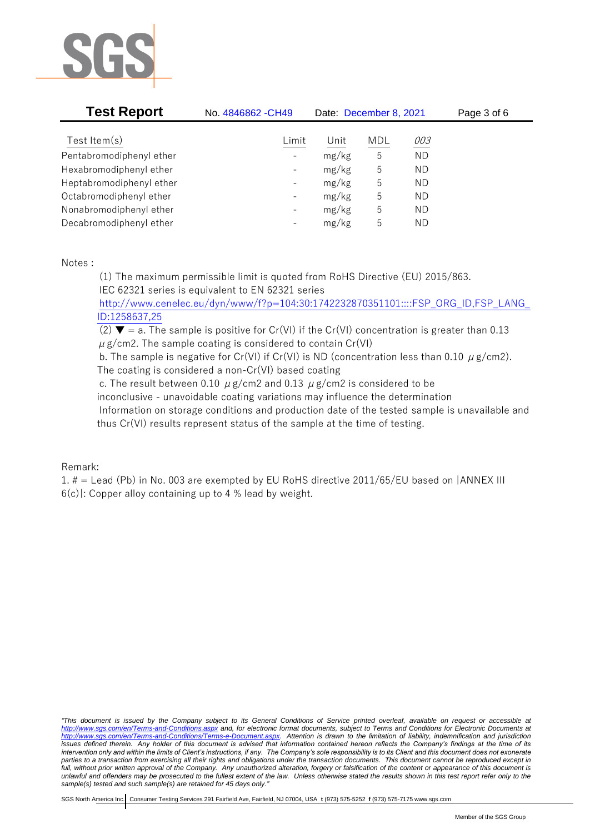

| <b>Test Report</b>       | No. 4846862 - CH49       | Date: December 8, 2021 |            |           | Page 3 of 6 |
|--------------------------|--------------------------|------------------------|------------|-----------|-------------|
| Test Item $(s)$          | Limit                    | Unit                   | <b>MDL</b> | 003       |             |
| Pentabromodiphenyl ether |                          | mg/kg                  | 5          | <b>ND</b> |             |
| Hexabromodiphenyl ether  | $\overline{\phantom{a}}$ | mg/kg                  | 5          | ΝD        |             |
| Heptabromodiphenyl ether |                          | mg/kg                  | 5          | ΝD        |             |
| Octabromodiphenyl ether  |                          | mg/kg                  | 5          | ΝD        |             |
| Nonabromodiphenyl ether  | $\qquad \qquad -$        | mg/kg                  | 5          | ΝD        |             |
| Decabromodiphenyl ether  | $\overline{\phantom{a}}$ | mg/kg                  | 5          | ΝD        |             |

Notes :

(1) The maximum permissible limit is quoted from RoHS Directive (EU) 2015/863. IEC 62321 series is equivalent to EN 62321 series

[http://www.cenelec.eu/dyn/www/f?p=104:30:1742232870351101::::FSP\\_ORG\\_ID,FSP\\_LANG\\_](http://www.cenelec.eu/dyn/www/f?p=104:30:1742232870351101::::FSP_ORG_ID,FSP_LANG_ID:1258637,25) [ID:1258637,25](http://www.cenelec.eu/dyn/www/f?p=104:30:1742232870351101::::FSP_ORG_ID,FSP_LANG_ID:1258637,25)

(2)  $\blacktriangledown$  = a. The sample is positive for Cr(VI) if the Cr(VI) concentration is greater than 0.13  $\mu$  g/cm2. The sample coating is considered to contain Cr(VI)

b. The sample is negative for Cr(VI) if Cr(VI) is ND (concentration less than 0.10  $\mu$  g/cm2). The coating is considered a non-Cr(VI) based coating

c. The result between 0.10  $\mu$  g/cm2 and 0.13  $\mu$  g/cm2 is considered to be

inconclusive - unavoidable coating variations may influence the determination

Information on storage conditions and production date of the tested sample is unavailable and thus Cr(VI) results represent status of the sample at the time of testing.

## Remark:

1. # = Lead (Pb) in No. 003 are exempted by EU RoHS directive 2011/65/EU based on |ANNEX III  $6(c)$ : Copper alloy containing up to 4 % lead by weight.

*"This document is issued by the Company subject to its General Conditions of Service printed overleaf, available on request or accessible at <http://www.sgs.com/en/Terms-and-Conditions.aspx> and, for electronic format documents, subject to Terms and Conditions for Electronic Documents at [http://www.sgs.com/en/Terms-and-Conditions/Terms-e-Document.aspx.](http://www.sgs.com/en/Terms-and-Conditions/Terms-e-Document.aspx) Attention is drawn to the limitation of liability, indemnification and jurisdiction issues defined therein. Any holder of this document is advised that information contained hereon reflects the Company's findings at the time of its intervention only and within the limits of Client's instructions, if any. The Company's sole responsibility is to its Client and this document does not exonerate parties to a transaction from exercising all their rights and obligations under the transaction documents. This document cannot be reproduced except in full, without prior written approval of the Company. Any unauthorized alteration, forgery or falsification of the content or appearance of this document is unlawful and offenders may be prosecuted to the fullest extent of the law. Unless otherwise stated the results shown in this test report refer only to the sample(s) tested and such sample(s) are retained for 45 days only."*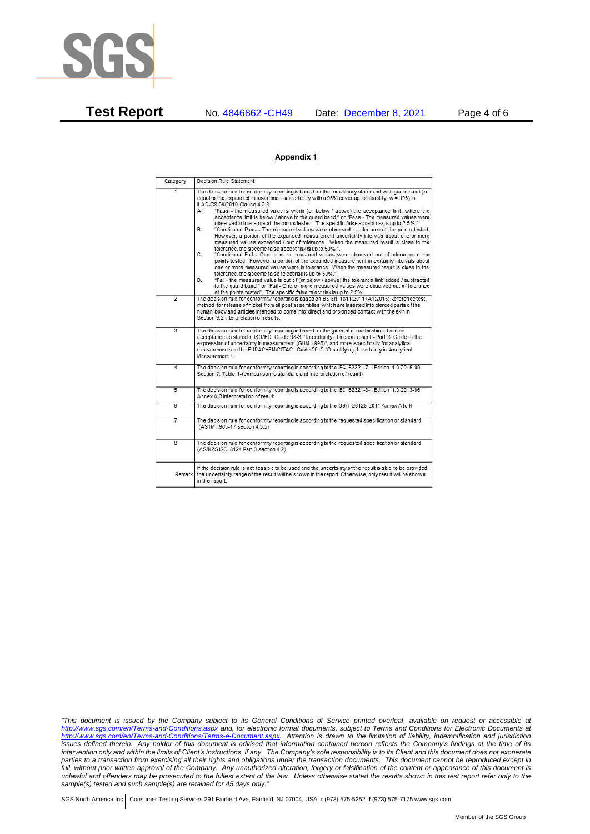

**Test Report** No. 4846862 -CH49 Date: December 8, 2021 Page 4 of 6

## Appendix 1

| Category       | Decision Rule Statement                                                                                                                                                                                                                                                                                                                                                                                                                                                                                                                                                                                                                                                                                                                                                                                                                                                                                                                                                                                                                                                                                                                                                                                                                                                                                                                                                                                                                                                                                            |
|----------------|--------------------------------------------------------------------------------------------------------------------------------------------------------------------------------------------------------------------------------------------------------------------------------------------------------------------------------------------------------------------------------------------------------------------------------------------------------------------------------------------------------------------------------------------------------------------------------------------------------------------------------------------------------------------------------------------------------------------------------------------------------------------------------------------------------------------------------------------------------------------------------------------------------------------------------------------------------------------------------------------------------------------------------------------------------------------------------------------------------------------------------------------------------------------------------------------------------------------------------------------------------------------------------------------------------------------------------------------------------------------------------------------------------------------------------------------------------------------------------------------------------------------|
| $\overline{1}$ | The decision rule for conformity reporting is based on the non-binary statement with quard band (is<br>equal to the expanded measurement uncertainty with a 95% coverage probability, w = U95) in<br>ILAC-G8:09/2019 Clause 4.2.3.<br>"Pass - the measured value is within (or below / above) the acceptance limit, where the<br>А.<br>acceptance limit is below / above to the quard band." or "Pass - The measured values were<br>observed in tolerance at the points tested. The specific false accept risk is up to 2.5%.".<br>"Conditional Pass - The measured values were observed in tolerance at the points tested.<br>В.<br>However, a portion of the expanded measurement uncertainty intervals about one or more<br>measured values exceeded / out of tolerance. When the measured result is close to the<br>tolerance, the specific false accept risk is up to 50%.".<br>C.<br>"Conditional Fail - One or more measured values were observed out of tolerance at the<br>points tested. However, a portion of the expanded measurement uncertainty intervals about<br>one or more measured values were in tolerance. When the measured result is close to the<br>tolerance, the specific false reject risk is up to 50%.".<br>"Fail - the measured value is out of (or below / above) the tolerance limit added / subtracted<br>D.<br>to the quard band." or "Fail - One or more measured values were observed out of tolerance<br>at the points tested". The specific false reject risk is up to 2.5%. |
| $\overline{2}$ | The decision rule for conformity reporting is based on BS EN 1811:2011+A1:2015: Reference test<br>method for release of nickel from all post assemblies which are inserted into pierced parts of the<br>human body and articles intended to come into direct and prolonged contact with the skin in<br>Section 9.2 interpretation of results.                                                                                                                                                                                                                                                                                                                                                                                                                                                                                                                                                                                                                                                                                                                                                                                                                                                                                                                                                                                                                                                                                                                                                                      |
| $\overline{3}$ | The decision rule for conformity reporting is based on the general consideration of simple<br>acceptance as stated in ISO/IEC Guide 98-3: "Uncertainty of measurement - Part 3: Guide to the<br>expression of uncertainty in measurement (GUM 1995)", and more specifically for analytical<br>measurements to the EURACHEM/CITAC Guide 2012 "Quantifying Uncertainty in Analytical<br>Measurement *                                                                                                                                                                                                                                                                                                                                                                                                                                                                                                                                                                                                                                                                                                                                                                                                                                                                                                                                                                                                                                                                                                                |
| 4              | The decision rule for conformity reporting is according to the IEC 62321-7-1 Edition 1.0 2015-09<br>Section 7: Table 1-(comparison to standard and interpretation of result)                                                                                                                                                                                                                                                                                                                                                                                                                                                                                                                                                                                                                                                                                                                                                                                                                                                                                                                                                                                                                                                                                                                                                                                                                                                                                                                                       |
| $\overline{5}$ | The decision rule for conformity reporting is according to the IEC 62321-3-1 Edition 1.0 2013-06<br>Annex A.3 interpretation of result.                                                                                                                                                                                                                                                                                                                                                                                                                                                                                                                                                                                                                                                                                                                                                                                                                                                                                                                                                                                                                                                                                                                                                                                                                                                                                                                                                                            |
| $\overline{6}$ | The decision rule for conformity reporting is according to the GB/T 26125-2011 Annex A to H                                                                                                                                                                                                                                                                                                                                                                                                                                                                                                                                                                                                                                                                                                                                                                                                                                                                                                                                                                                                                                                                                                                                                                                                                                                                                                                                                                                                                        |
| 7              | The decision rule for conformity reporting is according to the requested specification or standard<br>(ASTM F963-17 section 4.3.5)                                                                                                                                                                                                                                                                                                                                                                                                                                                                                                                                                                                                                                                                                                                                                                                                                                                                                                                                                                                                                                                                                                                                                                                                                                                                                                                                                                                 |
| $\overline{8}$ | The decision rule for conformity reporting is according to the requested specification or standard<br>(AS/NZS ISO 8124 Part 3 section 4.2)                                                                                                                                                                                                                                                                                                                                                                                                                                                                                                                                                                                                                                                                                                                                                                                                                                                                                                                                                                                                                                                                                                                                                                                                                                                                                                                                                                         |
| Remark         | If the decision rule is not feasible to be used and the uncertainty of the result is able to be provided.<br>the uncertainty range of the result will be shown in the report. Otherwise, only result will be shown<br>in the report.                                                                                                                                                                                                                                                                                                                                                                                                                                                                                                                                                                                                                                                                                                                                                                                                                                                                                                                                                                                                                                                                                                                                                                                                                                                                               |

*"This document is issued by the Company subject to its General Conditions of Service printed overleaf, available on request or accessible at <http://www.sgs.com/en/Terms-and-Conditions.aspx> and, for electronic format documents, subject to Terms and Conditions for Electronic Documents at [http://www.sgs.com/en/Terms-and-Conditions/Terms-e-Document.aspx.](http://www.sgs.com/en/Terms-and-Conditions/Terms-e-Document.aspx) Attention is drawn to the limitation of liability, indemnification and jurisdiction issues defined therein. Any holder of this document is advised that information contained hereon reflects the Company's findings at the time of its intervention only and within the limits of Client's instructions, if any. The Company's sole responsibility is to its Client and this document does not exonerate parties to a transaction from exercising all their rights and obligations under the transaction documents. This document cannot be reproduced except in full, without prior written approval of the Company. Any unauthorized alteration, forgery or falsification of the content or appearance of this document is unlawful and offenders may be prosecuted to the fullest extent of the law. Unless otherwise stated the results shown in this test report refer only to the sample(s) tested and such sample(s) are retained for 45 days only."*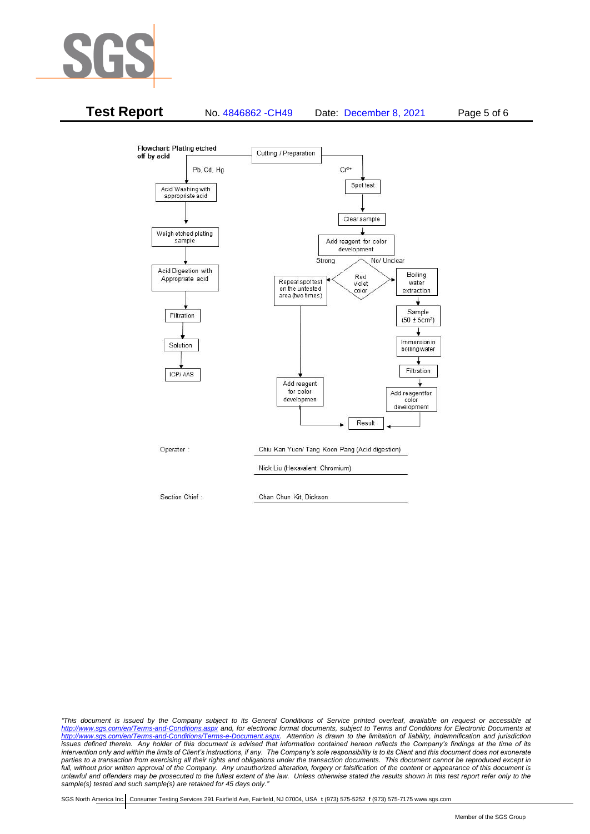



*"This document is issued by the Company subject to its General Conditions of Service printed overleaf, available on request or accessible at <http://www.sgs.com/en/Terms-and-Conditions.aspx> and, for electronic format documents, subject to Terms and Conditions for Electronic Documents at [http://www.sgs.com/en/Terms-and-Conditions/Terms-e-Document.aspx.](http://www.sgs.com/en/Terms-and-Conditions/Terms-e-Document.aspx) Attention is drawn to the limitation of liability, indemnification and jurisdiction issues defined therein. Any holder of this document is advised that information contained hereon reflects the Company's findings at the time of its intervention only and within the limits of Client's instructions, if any. The Company's sole responsibility is to its Client and this document does not exonerate*  parties to a transaction from exercising all their rights and obligations under the transaction documents. This document cannot be reproduced except in *full, without prior written approval of the Company. Any unauthorized alteration, forgery or falsification of the content or appearance of this document is unlawful and offenders may be prosecuted to the fullest extent of the law. Unless otherwise stated the results shown in this test report refer only to the sample(s) tested and such sample(s) are retained for 45 days only."*